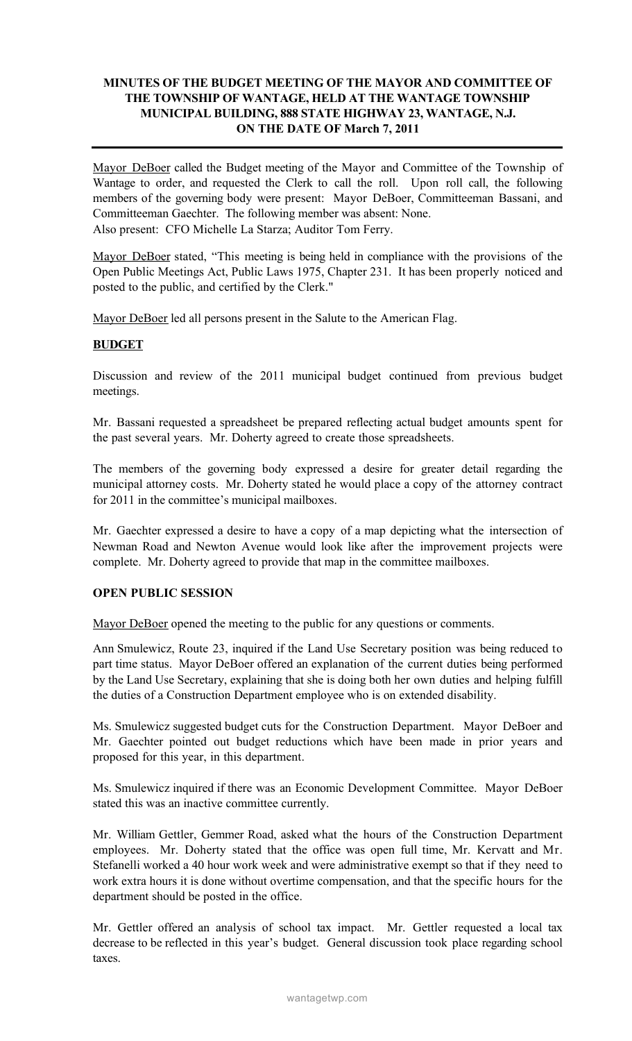## MINUTES OF THE BUDGET MEETING OF THE MAYOR AND COMMITTEE OF THE TOWNSHIP OF WANTAGE, HELD AT THE WANTAGE TOWNSHIP MUNICIPAL BUILDING, 888 STATE HIGHWAY 23, WANTAGE, N.J. ON THE DATE OF March 7, 2011

Mayor DeBoer called the Budget meeting of the Mayor and Committee of the Township of Wantage to order, and requested the Clerk to call the roll. Upon roll call, the following members of the governing body were present: Mayor DeBoer, Committeeman Bassani, and Committeeman Gaechter. The following member was absent: None. Also present: CFO Michelle La Starza; Auditor Tom Ferry.

Mayor DeBoer stated, "This meeting is being held in compliance with the provisions of the Open Public Meetings Act, Public Laws 1975, Chapter 231. It has been properly noticed and posted to the public, and certified by the Clerk."

Mayor DeBoer led all persons present in the Salute to the American Flag.

## BUDGET

Discussion and review of the 2011 municipal budget continued from previous budget meetings.

Mr. Bassani requested a spreadsheet be prepared reflecting actual budget amounts spent for the past several years. Mr. Doherty agreed to create those spreadsheets.

The members of the governing body expressed a desire for greater detail regarding the municipal attorney costs. Mr. Doherty stated he would place a copy of the attorney contract for 2011 in the committee's municipal mailboxes.

Mr. Gaechter expressed a desire to have a copy of a map depicting what the intersection of Newman Road and Newton Avenue would look like after the improvement projects were complete. Mr. Doherty agreed to provide that map in the committee mailboxes.

## OPEN PUBLIC SESSION

Mayor DeBoer opened the meeting to the public for any questions or comments.

Ann Smulewicz, Route 23, inquired if the Land Use Secretary position was being reduced to part time status. Mayor DeBoer offered an explanation of the current duties being performed by the Land Use Secretary, explaining that she is doing both her own duties and helping fulfill the duties of a Construction Department employee who is on extended disability.

Ms. Smulewicz suggested budget cuts for the Construction Department. Mayor DeBoer and Mr. Gaechter pointed out budget reductions which have been made in prior years and proposed for this year, in this department.

Ms. Smulewicz inquired if there was an Economic Development Committee. Mayor DeBoer stated this was an inactive committee currently.

Mr. William Gettler, Gemmer Road, asked what the hours of the Construction Department employees. Mr. Doherty stated that the office was open full time, Mr. Kervatt and Mr. Stefanelli worked a 40 hour work week and were administrative exempt so that if they need to work extra hours it is done without overtime compensation, and that the specific hours for the department should be posted in the office.

Mr. Gettler offered an analysis of school tax impact. Mr. Gettler requested a local tax decrease to be reflected in this year's budget. General discussion took place regarding school taxes.